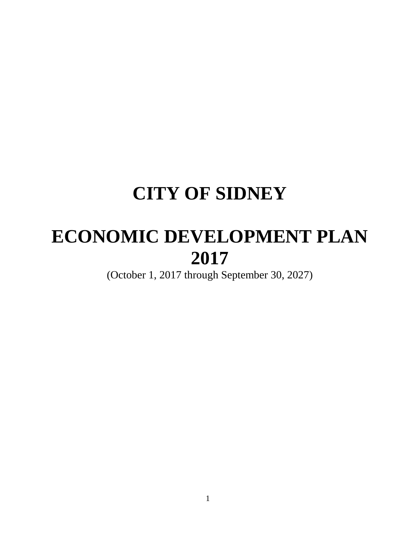# **CITY OF SIDNEY**

# **ECONOMIC DEVELOPMENT PLAN 2017**

(October 1, 2017 through September 30, 2027)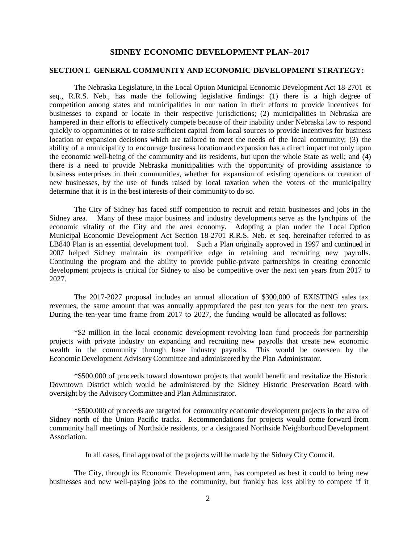#### **SIDNEY ECONOMIC DEVELOPMENT PLAN–2017**

#### **SECTION I. GENERAL COMMUNITY AND ECONOMIC DEVELOPMENT STRATEGY:**

The Nebraska Legislature, in the Local Option Municipal Economic Development Act 18-2701 et seq., R.R.S. Neb., has made the following legislative findings: (1) there is a high degree of competition among states and municipalities in our nation in their efforts to provide incentives for businesses to expand or locate in their respective jurisdictions; (2) municipalities in Nebraska are hampered in their efforts to effectively compete because of their inability under Nebraska law to respond quickly to opportunities or to raise sufficient capital from local sources to provide incentives for business location or expansion decisions which are tailored to meet the needs of the local community; (3) the ability of a municipality to encourage business location and expansion has a direct impact not only upon the economic well-being of the community and its residents, but upon the whole State as well; and (4) there is a need to provide Nebraska municipalities with the opportunity of providing assistance to business enterprises in their communities, whether for expansion of existing operations or creation of new businesses, by the use of funds raised by local taxation when the voters of the municipality determine that it is in the best interests of their community to do so.

The City of Sidney has faced stiff competition to recruit and retain businesses and jobs in the Sidney area. Many of these major business and industry developments serve as the lynchpins of the economic vitality of the City and the area economy. Adopting a plan under the Local Option Municipal Economic Development Act Section 18-2701 R.R.S. Neb. et seq. hereinafter referred to as LB840 Plan is an essential development tool. Such a Plan originally approved in 1997 and continued in 2007 helped Sidney maintain its competitive edge in retaining and recruiting new payrolls. Continuing the program and the ability to provide public-private partnerships in creating economic development projects is critical for Sidney to also be competitive over the next ten years from 2017 to 2027.

The 2017-2027 proposal includes an annual allocation of \$300,000 of EXISTING sales tax revenues, the same amount that was annually appropriated the past ten years for the next ten years. During the ten-year time frame from 2017 to 2027, the funding would be allocated as follows:

\*\$2 million in the local economic development revolving loan fund proceeds for partnership projects with private industry on expanding and recruiting new payrolls that create new economic wealth in the community through base industry payrolls. This would be overseen by the Economic Development Advisory Committee and administered by the Plan Administrator.

\*\$500,000 of proceeds toward downtown projects that would benefit and revitalize the Historic Downtown District which would be administered by the Sidney Historic Preservation Board with oversight by the Advisory Committee and Plan Administrator.

\*\$500,000 of proceeds are targeted for community economic development projects in the area of Sidney north of the Union Pacific tracks. Recommendations for projects would come forward from community hall meetings of Northside residents, or a designated Northside Neighborhood Development Association.

In all cases, final approval of the projects will be made by the Sidney City Council.

The City, through its Economic Development arm, has competed as best it could to bring new businesses and new well-paying jobs to the community, but frankly has less ability to compete if it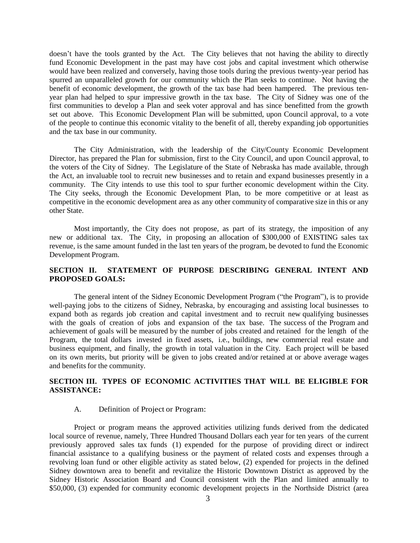doesn't have the tools granted by the Act. The City believes that not having the ability to directly fund Economic Development in the past may have cost jobs and capital investment which otherwise would have been realized and conversely, having those tools during the previous twenty-year period has spurred an unparalleled growth for our community which the Plan seeks to continue. Not having the benefit of economic development, the growth of the tax base had been hampered. The previous tenyear plan had helped to spur impressive growth in the tax base. The City of Sidney was one of the first communities to develop a Plan and seek voter approval and has since benefitted from the growth set out above. This Economic Development Plan will be submitted, upon Council approval, to a vote of the people to continue this economic vitality to the benefit of all, thereby expanding job opportunities and the tax base in our community.

The City Administration, with the leadership of the City/County Economic Development Director, has prepared the Plan for submission, first to the City Council, and upon Council approval, to the voters of the City of Sidney. The Legislature of the State of Nebraska has made available, through the Act, an invaluable tool to recruit new businesses and to retain and expand businesses presently in a community. The City intends to use this tool to spur further economic development within the City. The City seeks, through the Economic Development Plan, to be more competitive or at least as competitive in the economic development area as any other community of comparative size in this or any other State.

Most importantly, the City does not propose, as part of its strategy, the imposition of any new or additional tax. The City, in proposing an allocation of \$300,000 of EXISTING sales tax revenue, is the same amount funded in the last ten years of the program, be devoted to fund the Economic Development Program.

# **SECTION II. STATEMENT OF PURPOSE DESCRIBING GENERAL INTENT AND PROPOSED GOALS:**

The general intent of the Sidney Economic Development Program ("the Program"), is to provide well-paying jobs to the citizens of Sidney, Nebraska, by encouraging and assisting local businesses to expand both as regards job creation and capital investment and to recruit new qualifying businesses with the goals of creation of jobs and expansion of the tax base. The success of the Program and achievement of goals will be measured by the number of jobs created and retained for the length of the Program, the total dollars invested in fixed assets, i.e., buildings, new commercial real estate and business equipment, and finally, the growth in total valuation in the City. Each project will be based on its own merits, but priority will be given to jobs created and/or retained at or above average wages and benefits for the community.

# **SECTION III. TYPES OF ECONOMIC ACTIVITIES THAT WILL BE ELIGIBLE FOR ASSISTANCE:**

#### A. Definition of Project or Program:

Project or program means the approved activities utilizing funds derived from the dedicated local source of revenue, namely, Three Hundred Thousand Dollars each year for ten years of the current previously approved sales tax funds (1) expended for the purpose of providing direct or indirect financial assistance to a qualifying business or the payment of related costs and expenses through a revolving loan fund or other eligible activity as stated below, (2) expended for projects in the defined Sidney downtown area to benefit and revitalize the Historic Downtown District as approved by the Sidney Historic Association Board and Council consistent with the Plan and limited annually to \$50,000, (3) expended for community economic development projects in the Northside District (area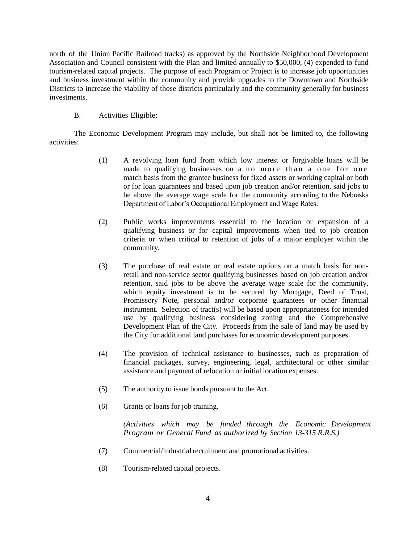north of the Union Pacific Railroad tracks) as approved by the Northside Neighborhood Development Association and Council consistent with the Plan and limited annually to \$50,000, (4) expended to fund tourism-related capital projects. The purpose of each Program or Project is to increase job opportunities and business investment within the community and provide upgrades to the Downtown and Northside Districts to increase the viability of those districts particularly and the community generally for business investments.

#### B. Activities Eligible:

The Economic Development Program may include, but shall not be limited to, the following activities:

- (1) A revolving loan fund from which low interest or forgivable loans will be made to qualifying businesses on a no more than a one for one match basis from the grantee business for fixed assets or working capital or both or for loan guarantees and based upon job creation and/or retention, said jobs to be above the average wage scale for the community according to the Nebraska Department of Labor's Occupational Employment and Wage Rates.
- (2) Public works improvements essential to the location or expansion of a qualifying business or for capital improvements when tied to job creation criteria or when critical to retention of jobs of a major employer within the community.
- (3) The purchase of real estate or real estate options on a match basis for nonretail and non-service sector qualifying businesses based on job creation and/or retention, said jobs to be above the average wage scale for the community, which equity investment is to be secured by Mortgage, Deed of Trust, Promissory Note, personal and/or corporate guarantees or other financial instrument. Selection of tract(s) will be based upon appropriateness for intended use by qualifying business considering zoning and the Comprehensive Development Plan of the City. Proceeds from the sale of land may be used by the City for additional land purchases for economic development purposes.
- (4) The provision of technical assistance to businesses, such as preparation of financial packages, survey, engineering, legal, architectural or other similar assistance and payment of relocation or initial location expenses.
- (5) The authority to issue bonds pursuant to the Act.
- (6) Grants or loans for job training.

*(Activities which may be funded through the Economic Development Program or General Fund as authorized by Section 13-315 R.R.S.)*

- (7) Commercial/industrial recruitment and promotional activities.
- (8) Tourism-related capital projects.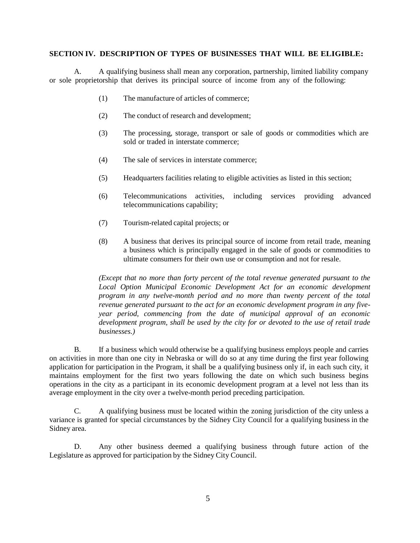#### **SECTION IV. DESCRIPTION OF TYPES OF BUSINESSES THAT WILL BE ELIGIBLE:**

A. A qualifying business shall mean any corporation, partnership, limited liability company or sole proprietorship that derives its principal source of income from any of the following:

- (1) The manufacture of articles of commerce;
- (2) The conduct of research and development;
- (3) The processing, storage, transport or sale of goods or commodities which are sold or traded in interstate commerce;
- (4) The sale of services in interstate commerce;
- (5) Headquarters facilities relating to eligible activities as listed in this section;
- (6) Telecommunications activities, including services providing advanced telecommunications capability;
- (7) Tourism-related capital projects; or
- (8) A business that derives its principal source of income from retail trade, meaning a business which is principally engaged in the sale of goods or commodities to ultimate consumers for their own use or consumption and not for resale.

*(Except that no more than forty percent of the total revenue generated pursuant to the Local Option Municipal Economic Development Act for an economic development program in any twelve-month period and no more than twenty percent of the total revenue generated pursuant to the act for an economic development program in any fiveyear period, commencing from the date of municipal approval of an economic development program, shall be used by the city for or devoted to the use of retail trade businesses.)*

B. If a business which would otherwise be a qualifying business employs people and carries on activities in more than one city in Nebraska or will do so at any time during the first year following application for participation in the Program, it shall be a qualifying business only if, in each such city, it maintains employment for the first two years following the date on which such business begins operations in the city as a participant in its economic development program at a level not less than its average employment in the city over a twelve-month period preceding participation.

C. A qualifying business must be located within the zoning jurisdiction of the city unless a variance is granted for special circumstances by the Sidney City Council for a qualifying business in the Sidney area.

D. Any other business deemed a qualifying business through future action of the Legislature as approved for participation by the Sidney City Council.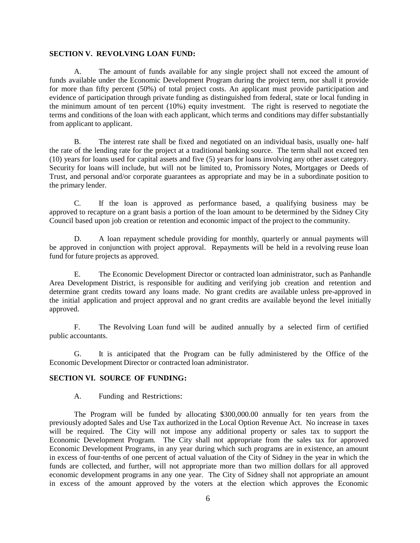#### **SECTION V. REVOLVING LOAN FUND:**

A. The amount of funds available for any single project shall not exceed the amount of funds available under the Economic Development Program during the project term, nor shall it provide for more than fifty percent (50%) of total project costs. An applicant must provide participation and evidence of participation through private funding as distinguished from federal, state or local funding in the minimum amount of ten percent (10%) equity investment. The right is reserved to negotiate the terms and conditions of the loan with each applicant, which terms and conditions may differ substantially from applicant to applicant.

B. The interest rate shall be fixed and negotiated on an individual basis, usually one- half the rate of the lending rate for the project at a traditional banking source. The term shall not exceed ten (10) years for loans used for capital assets and five (5) years for loans involving any other asset category. Security for loans will include, but will not be limited to, Promissory Notes, Mortgages or Deeds of Trust, and personal and/or corporate guarantees as appropriate and may be in a subordinate position to the primary lender.

C. If the loan is approved as performance based, a qualifying business may be approved to recapture on a grant basis a portion of the loan amount to be determined by the Sidney City Council based upon job creation or retention and economic impact of the project to the community.

D. A loan repayment schedule providing for monthly, quarterly or annual payments will be approved in conjunction with project approval. Repayments will be held in a revolving reuse loan fund for future projects as approved.

E. The Economic Development Director or contracted loan administrator, such as Panhandle Area Development District, is responsible for auditing and verifying job creation and retention and determine grant credits toward any loans made. No grant credits are available unless pre-approved in the initial application and project approval and no grant credits are available beyond the level initially approved.

F. The Revolving Loan fund will be audited annually by a selected firm of certified public accountants.

G. It is anticipated that the Program can be fully administered by the Office of the Economic Development Director or contracted loan administrator.

# **SECTION VI. SOURCE OF FUNDING:**

A. Funding and Restrictions:

The Program will be funded by allocating \$300,000.00 annually for ten years from the previously adopted Sales and Use Tax authorized in the Local Option Revenue Act. No increase in taxes will be required. The City will not impose any additional property or sales tax to support the Economic Development Program. The City shall not appropriate from the sales tax for approved Economic Development Programs, in any year during which such programs are in existence, an amount in excess of four-tenths of one percent of actual valuation of the City of Sidney in the year in which the funds are collected, and further, will not appropriate more than two million dollars for all approved economic development programs in any one year. The City of Sidney shall not appropriate an amount in excess of the amount approved by the voters at the election which approves the Economic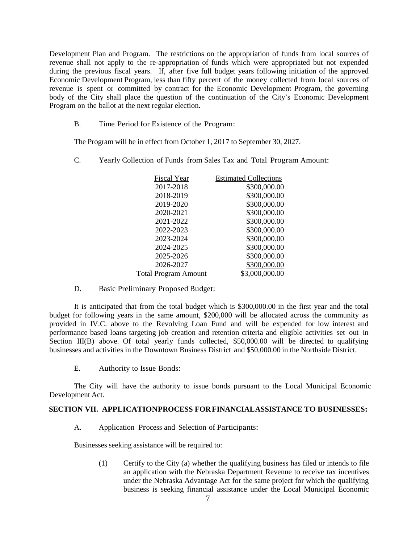Development Plan and Program. The restrictions on the appropriation of funds from local sources of revenue shall not apply to the re-appropriation of funds which were appropriated but not expended during the previous fiscal years. If, after five full budget years following initiation of the approved Economic Development Program, less than fifty percent of the money collected from local sources of revenue is spent or committed by contract for the Economic Development Program, the governing body of the City shall place the question of the continuation of the City's Economic Development Program on the ballot at the next regular election.

B. Time Period for Existence of the Program:

The Program will be in effect from October 1, 2017 to September 30, 2027.

C. Yearly Collection of Funds from Sales Tax and Total Program Amount:

| <b>Fiscal Year</b>          | <b>Estimated Collections</b> |
|-----------------------------|------------------------------|
| 2017-2018                   | \$300,000.00                 |
| 2018-2019                   | \$300,000.00                 |
| 2019-2020                   | \$300,000.00                 |
| 2020-2021                   | \$300,000.00                 |
| 2021-2022                   | \$300,000.00                 |
| 2022-2023                   | \$300,000.00                 |
| 2023-2024                   | \$300,000.00                 |
| 2024-2025                   | \$300,000.00                 |
| 2025-2026                   | \$300,000.00                 |
| 2026-2027                   | \$300,000.00                 |
| <b>Total Program Amount</b> | \$3,000,000.00               |
|                             |                              |

D. Basic Preliminary Proposed Budget:

It is anticipated that from the total budget which is \$300,000.00 in the first year and the total budget for following years in the same amount, \$200,000 will be allocated across the community as provided in IV.C. above to the Revolving Loan Fund and will be expended for low interest and performance based loans targeting job creation and retention criteria and eligible activities set out in Section III(B) above. Of total yearly funds collected, \$50,000.00 will be directed to qualifying businesses and activities in the Downtown Business District and \$50,000.00 in the Northside District.

E. Authority to Issue Bonds:

The City will have the authority to issue bonds pursuant to the Local Municipal Economic Development Act.

#### **SECTION VII. APPLICATIONPROCESS FORFINANCIALASSISTANCE TO BUSINESSES:**

A. Application Process and Selection of Participants:

Businesses seeking assistance will be required to:

(1) Certify to the City (a) whether the qualifying business has filed or intends to file an application with the Nebraska Department Revenue to receive tax incentives under the Nebraska Advantage Act for the same project for which the qualifying business is seeking financial assistance under the Local Municipal Economic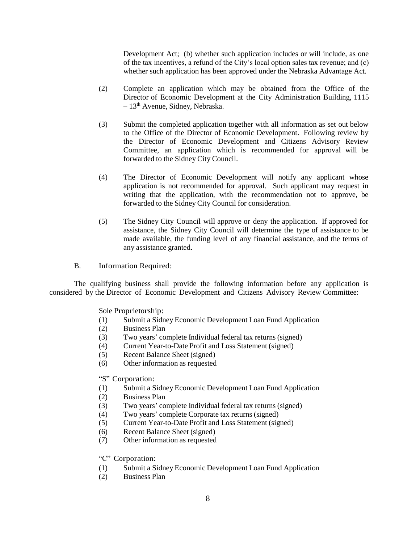Development Act; (b) whether such application includes or will include, as one of the tax incentives, a refund of the City's local option sales tax revenue; and (c) whether such application has been approved under the Nebraska Advantage Act.

- (2) Complete an application which may be obtained from the Office of the Director of Economic Development at the City Administration Building, 1115 – 13th Avenue, Sidney, Nebraska.
- (3) Submit the completed application together with all information as set out below to the Office of the Director of Economic Development. Following review by the Director of Economic Development and Citizens Advisory Review Committee, an application which is recommended for approval will be forwarded to the Sidney City Council.
- (4) The Director of Economic Development will notify any applicant whose application is not recommended for approval. Such applicant may request in writing that the application, with the recommendation not to approve, be forwarded to the Sidney City Council for consideration.
- (5) The Sidney City Council will approve or deny the application. If approved for assistance, the Sidney City Council will determine the type of assistance to be made available, the funding level of any financial assistance, and the terms of any assistance granted.
- B. Information Required:

The qualifying business shall provide the following information before any application is considered by the Director of Economic Development and Citizens Advisory Review Committee:

Sole Proprietorship:

- (1) Submit a Sidney Economic Development Loan Fund Application
- (2) Business Plan
- (3) Two years' complete Individual federal tax returns (signed)
- (4) Current Year-to-Date Profit and Loss Statement (signed)
- (5) Recent Balance Sheet (signed)
- (6) Other information as requested

"S" Corporation:

- (1) Submit a Sidney Economic Development Loan Fund Application
- (2) Business Plan
- (3) Two years' complete Individual federal tax returns (signed)
- (4) Two years' complete Corporate tax returns (signed)
- (5) Current Year-to-Date Profit and Loss Statement (signed)
- (6) Recent Balance Sheet (signed)
- (7) Other information as requested

"C" Corporation:

- (1) Submit a Sidney Economic Development Loan Fund Application
- (2) Business Plan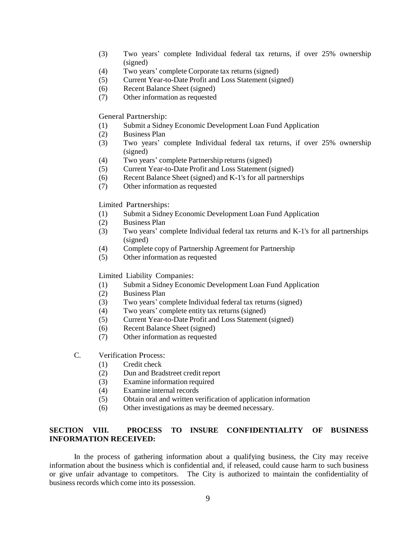- (3) Two years' complete Individual federal tax returns, if over 25% ownership (signed)
- (4) Two years' complete Corporate tax returns (signed)
- (5) Current Year-to-Date Profit and Loss Statement (signed)
- (6) Recent Balance Sheet (signed)
- (7) Other information as requested

General Partnership:

- (1) Submit a Sidney Economic Development Loan Fund Application
- (2) Business Plan
- (3) Two years' complete Individual federal tax returns, if over 25% ownership (signed)
- (4) Two years' complete Partnership returns (signed)
- (5) Current Year-to-Date Profit and Loss Statement (signed)
- (6) Recent Balance Sheet (signed) and K-1's for all partnerships
- (7) Other information as requested

Limited Partnerships:

- (1) Submit a Sidney Economic Development Loan Fund Application
- (2) Business Plan
- (3) Two years' complete Individual federal tax returns and K-1's for all partnerships (signed)
- (4) Complete copy of Partnership Agreement for Partnership
- (5) Other information as requested

Limited Liability Companies:

- (1) Submit a Sidney Economic Development Loan Fund Application
- (2) Business Plan
- (3) Two years' complete Individual federal tax returns (signed)
- (4) Two years' complete entity tax returns (signed)
- (5) Current Year-to-Date Profit and Loss Statement (signed)
- (6) Recent Balance Sheet (signed)
- (7) Other information as requested
- C. Verification Process:
	- (1) Credit check
	- (2) Dun and Bradstreet credit report
	- (3) Examine information required
	- (4) Examine internal records
	- (5) Obtain oral and written verification of application information
	- (6) Other investigations as may be deemed necessary.

# **SECTION VIII. PROCESS TO INSURE CONFIDENTIALITY OF BUSINESS INFORMATION RECEIVED:**

In the process of gathering information about a qualifying business, the City may receive information about the business which is confidential and, if released, could cause harm to such business or give unfair advantage to competitors. The City is authorized to maintain the confidentiality of business records which come into its possession.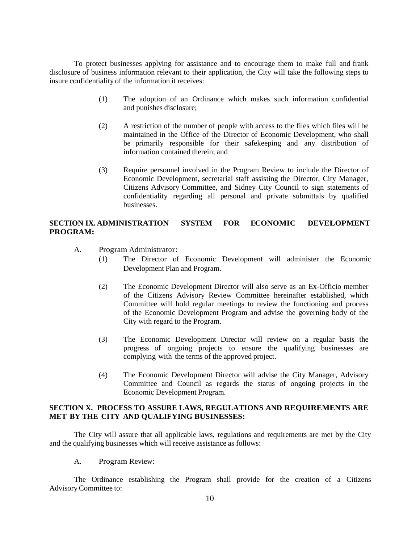To protect businesses applying for assistance and to encourage them to make full and frank disclosure of business information relevant to their application, the City will take the following steps to insure confidentiality of the information it receives:

- (1) The adoption of an Ordinance which makes such information confidential and punishes disclosure;
- (2) A restriction of the number of people with access to the files which files will be maintained in the Office of the Director of Economic Development, who shall be primarily responsible for their safekeeping and any distribution of information contained therein; and
- (3) Require personnel involved in the Program Review to include the Director of Economic Development, secretarial staff assisting the Director, City Manager, Citizens Advisory Committee, and Sidney City Council to sign statements of confidentiality regarding all personal and private submittals by qualified businesses.

# **SECTION IX. ADMINISTRATION SYSTEM FOR ECONOMIC DEVELOPMENT PROGRAM:**

- A. Program Administrator:
	- (1) The Director of Economic Development will administer the Economic Development Plan and Program.
	- (2) The Economic Development Director will also serve as an Ex-Officio member of the Citizens Advisory Review Committee hereinafter established, which Committee will hold regular meetings to review the functioning and process of the Economic Development Program and advise the governing body of the City with regard to the Program.
	- (3) The Economic Development Director will review on a regular basis the progress of ongoing projects to ensure the qualifying businesses are complying with the terms of the approved project.
	- (4) The Economic Development Director will advise the City Manager, Advisory Committee and Council as regards the status of ongoing projects in the Economic Development Program.

# **SECTION X. PROCESS TO ASSURE LAWS, REGULATIONS AND REQUIREMENTS ARE MET BY THE CITY AND QUALIFYING BUSINESSES:**

The City will assure that all applicable laws, regulations and requirements are met by the City and the qualifying businesses which will receive assistance as follows:

A. Program Review:

The Ordinance establishing the Program shall provide for the creation of a Citizens Advisory Committee to: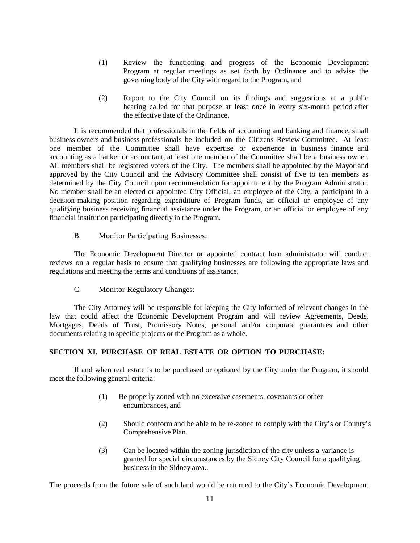- (1) Review the functioning and progress of the Economic Development Program at regular meetings as set forth by Ordinance and to advise the governing body of the City with regard to the Program, and
- (2) Report to the City Council on its findings and suggestions at a public hearing called for that purpose at least once in every six-month period after the effective date of the Ordinance.

It is recommended that professionals in the fields of accounting and banking and finance, small business owners and business professionals be included on the Citizens Review Committee. At least one member of the Committee shall have expertise or experience in business finance and accounting as a banker or accountant, at least one member of the Committee shall be a business owner. All members shall be registered voters of the City. The members shall be appointed by the Mayor and approved by the City Council and the Advisory Committee shall consist of five to ten members as determined by the City Council upon recommendation for appointment by the Program Administrator. No member shall be an elected or appointed City Official, an employee of the City, a participant in a decision-making position regarding expenditure of Program funds, an official or employee of any qualifying business receiving financial assistance under the Program, or an official or employee of any financial institution participating directly in the Program.

B. Monitor Participating Businesses:

The Economic Development Director or appointed contract loan administrator will conduct reviews on a regular basis to ensure that qualifying businesses are following the appropriate laws and regulations and meeting the terms and conditions of assistance.

C. Monitor Regulatory Changes:

The City Attorney will be responsible for keeping the City informed of relevant changes in the law that could affect the Economic Development Program and will review Agreements, Deeds, Mortgages, Deeds of Trust, Promissory Notes, personal and/or corporate guarantees and other documents relating to specific projects or the Program as a whole.

# **SECTION XI. PURCHASE OF REAL ESTATE OR OPTION TO PURCHASE:**

If and when real estate is to be purchased or optioned by the City under the Program, it should meet the following general criteria:

- (1) Be properly zoned with no excessive easements, covenants or other encumbrances, and
- (2) Should conform and be able to be re-zoned to comply with the City's or County's Comprehensive Plan.
- (3) Can be located within the zoning jurisdiction of the city unless a variance is granted for special circumstances by the Sidney City Council for a qualifying business in the Sidney area..

The proceeds from the future sale of such land would be returned to the City's Economic Development